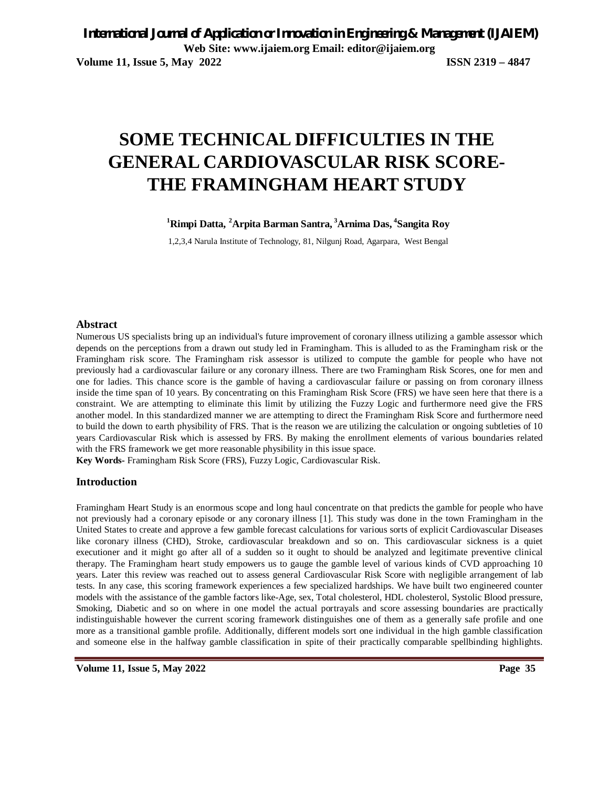# **SOME TECHNICAL DIFFICULTIES IN THE GENERAL CARDIOVASCULAR RISK SCORE-THE FRAMINGHAM HEART STUDY**

**<sup>1</sup>Rimpi Datta, <sup>2</sup>Arpita Barman Santra, <sup>3</sup>Arnima Das, 4 Sangita Roy**

1,2,3,4 Narula Institute of Technology, 81, Nilgunj Road, Agarpara, West Bengal

#### **Abstract**

Numerous US specialists bring up an individual's future improvement of coronary illness utilizing a gamble assessor which depends on the perceptions from a drawn out study led in Framingham. This is alluded to as the Framingham risk or the Framingham risk score. The Framingham risk assessor is utilized to compute the gamble for people who have not previously had a cardiovascular failure or any coronary illness. There are two Framingham Risk Scores, one for men and one for ladies. This chance score is the gamble of having a cardiovascular failure or passing on from coronary illness inside the time span of 10 years. By concentrating on this Framingham Risk Score (FRS) we have seen here that there is a constraint. We are attempting to eliminate this limit by utilizing the Fuzzy Logic and furthermore need give the FRS another model. In this standardized manner we are attempting to direct the Framingham Risk Score and furthermore need to build the down to earth physibility of FRS. That is the reason we are utilizing the calculation or ongoing subtleties of 10 years Cardiovascular Risk which is assessed by FRS. By making the enrollment elements of various boundaries related with the FRS framework we get more reasonable physibility in this issue space.

**Key Words-** Framingham Risk Score (FRS), Fuzzy Logic, Cardiovascular Risk.

### **Introduction**

Framingham Heart Study is an enormous scope and long haul concentrate on that predicts the gamble for people who have not previously had a coronary episode or any coronary illness [1]. This study was done in the town Framingham in the United States to create and approve a few gamble forecast calculations for various sorts of explicit Cardiovascular Diseases like coronary illness (CHD), Stroke, cardiovascular breakdown and so on. This cardiovascular sickness is a quiet executioner and it might go after all of a sudden so it ought to should be analyzed and legitimate preventive clinical therapy. The Framingham heart study empowers us to gauge the gamble level of various kinds of CVD approaching 10 years. Later this review was reached out to assess general Cardiovascular Risk Score with negligible arrangement of lab tests. In any case, this scoring framework experiences a few specialized hardships. We have built two engineered counter models with the assistance of the gamble factors like-Age, sex, Total cholesterol, HDL cholesterol, Systolic Blood pressure, Smoking, Diabetic and so on where in one model the actual portrayals and score assessing boundaries are practically indistinguishable however the current scoring framework distinguishes one of them as a generally safe profile and one more as a transitional gamble profile. Additionally, different models sort one individual in the high gamble classification and someone else in the halfway gamble classification in spite of their practically comparable spellbinding highlights.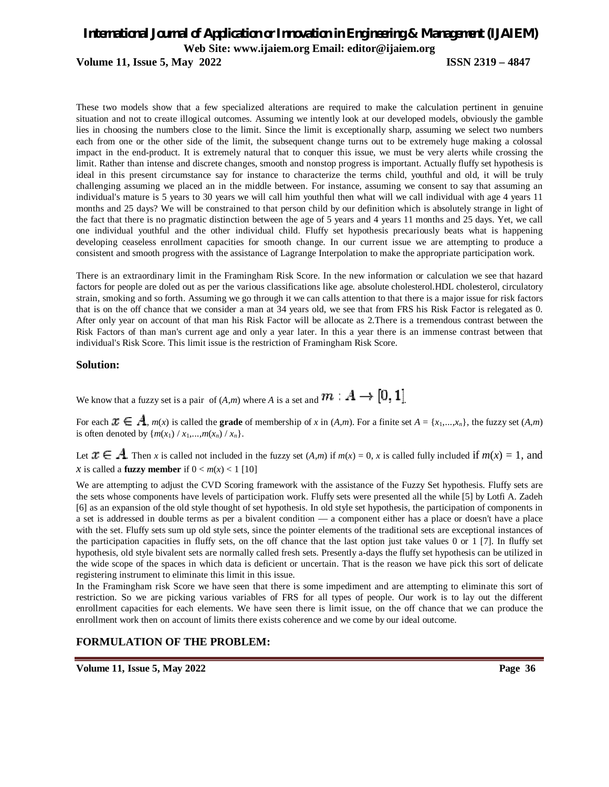**Volume 11, Issue 5, May 2022 ISSN 2319 – 4847**

These two models show that a few specialized alterations are required to make the calculation pertinent in genuine situation and not to create illogical outcomes. Assuming we intently look at our developed models, obviously the gamble lies in choosing the numbers close to the limit. Since the limit is exceptionally sharp, assuming we select two numbers each from one or the other side of the limit, the subsequent change turns out to be extremely huge making a colossal impact in the end-product. It is extremely natural that to conquer this issue, we must be very alerts while crossing the limit. Rather than intense and discrete changes, smooth and nonstop progress is important. Actually fluffy set hypothesis is ideal in this present circumstance say for instance to characterize the terms child, youthful and old, it will be truly challenging assuming we placed an in the middle between. For instance, assuming we consent to say that assuming an individual's mature is 5 years to 30 years we will call him youthful then what will we call individual with age 4 years 11 months and 25 days? We will be constrained to that person child by our definition which is absolutely strange in light of the fact that there is no pragmatic distinction between the age of 5 years and 4 years 11 months and 25 days. Yet, we call one individual youthful and the other individual child. Fluffy set hypothesis precariously beats what is happening developing ceaseless enrollment capacities for smooth change. In our current issue we are attempting to produce a consistent and smooth progress with the assistance of Lagrange Interpolation to make the appropriate participation work.

There is an extraordinary limit in the Framingham Risk Score. In the new information or calculation we see that hazard factors for people are doled out as per the various classifications like age. absolute cholesterol.HDL cholesterol, circulatory strain, smoking and so forth. Assuming we go through it we can calls attention to that there is a major issue for risk factors that is on the off chance that we consider a man at 34 years old, we see that from FRS his Risk Factor is relegated as 0. After only year on account of that man his Risk Factor will be allocate as 2.There is a tremendous contrast between the Risk Factors of than man's current age and only a year later. In this a year there is an immense contrast between that individual's Risk Score. This limit issue is the restriction of Framingham Risk Score.

#### **Solution:**

We know that a fuzzy set is a pair of  $(A,m)$  where *A* is a set and  $m : A \rightarrow [0, 1]$ .

For each  $x \in A$ ,  $m(x)$  is called the **grade** of membership of *x* in  $(A,m)$ . For a finite set  $A = \{x_1,...,x_n\}$ , the fuzzy set  $(A,m)$ is often denoted by  ${m(x_1) / x_1,...,m(x_n) / x_n}.$ 

Let  $x \in A$ . Then *x* is called not included in the fuzzy set  $(A,m)$  if  $m(x) = 0$ , *x* is called fully included if  $m(x) = 1$ , and *x* is called a **fuzzy member** if  $0 < m(x) < 1$  [10]

We are attempting to adjust the CVD Scoring framework with the assistance of the Fuzzy Set hypothesis. Fluffy sets are the sets whose components have levels of participation work. Fluffy sets were presented all the while [5] by Lotfi A. Zadeh [6] as an expansion of the old style thought of set hypothesis. In old style set hypothesis, the participation of components in a set is addressed in double terms as per a bivalent condition — a component either has a place or doesn't have a place with the set. Fluffy sets sum up old style sets, since the pointer elements of the traditional sets are exceptional instances of the participation capacities in fluffy sets, on the off chance that the last option just take values 0 or 1 [7]. In fluffy set hypothesis, old style bivalent sets are normally called fresh sets. Presently a-days the fluffy set hypothesis can be utilized in the wide scope of the spaces in which data is deficient or uncertain. That is the reason we have pick this sort of delicate registering instrument to eliminate this limit in this issue.

In the Framingham risk Score we have seen that there is some impediment and are attempting to eliminate this sort of restriction. So we are picking various variables of FRS for all types of people. Our work is to lay out the different enrollment capacities for each elements. We have seen there is limit issue, on the off chance that we can produce the enrollment work then on account of limits there exists coherence and we come by our ideal outcome.

### **FORMULATION OF THE PROBLEM:**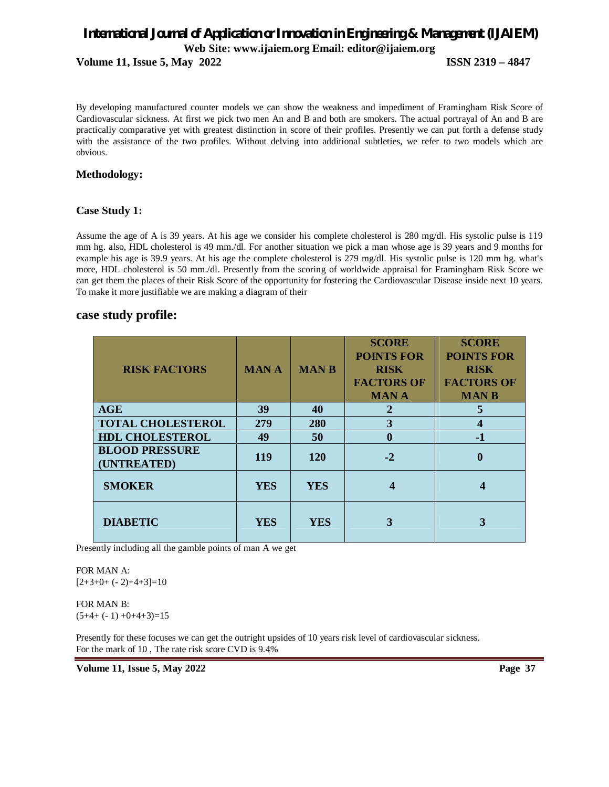**Volume 11, Issue 5, May 2022 ISSN 2319 – 4847**

By developing manufactured counter models we can show the weakness and impediment of Framingham Risk Score of Cardiovascular sickness. At first we pick two men An and B and both are smokers. The actual portrayal of An and B are practically comparative yet with greatest distinction in score of their profiles. Presently we can put forth a defense study with the assistance of the two profiles. Without delving into additional subtleties, we refer to two models which are obvious.

### **Methodology:**

### **Case Study 1:**

Assume the age of A is 39 years. At his age we consider his complete cholesterol is 280 mg/dl. His systolic pulse is 119 mm hg. also, HDL cholesterol is 49 mm./dl. For another situation we pick a man whose age is 39 years and 9 months for example his age is 39.9 years. At his age the complete cholesterol is 279 mg/dl. His systolic pulse is 120 mm hg. what's more, HDL cholesterol is 50 mm./dl. Presently from the scoring of worldwide appraisal for Framingham Risk Score we can get them the places of their Risk Score of the opportunity for fostering the Cardiovascular Disease inside next 10 years. To make it more justifiable we are making a diagram of their

### **case study profile:**

| <b>RISK FACTORS</b>                  | <b>MANA</b> | <b>MANB</b> | <b>SCORE</b><br><b>POINTS FOR</b><br><b>RISK</b><br><b>FACTORS OF</b><br><b>MANA</b> | <b>SCORE</b><br><b>POINTS FOR</b><br><b>RISK</b><br><b>FACTORS OF</b><br><b>MANB</b> |
|--------------------------------------|-------------|-------------|--------------------------------------------------------------------------------------|--------------------------------------------------------------------------------------|
| <b>AGE</b>                           | 39          | 40          | $\mathbf 2$                                                                          | 5                                                                                    |
| <b>TOTAL CHOLESTEROL</b>             | 279         | 280         | 3                                                                                    |                                                                                      |
| <b>HDL CHOLESTEROL</b>               | 49          | 50          | 0                                                                                    | $-1$                                                                                 |
| <b>BLOOD PRESSURE</b><br>(UNTREATED) | <b>119</b>  | <b>120</b>  | $-2$                                                                                 | $\mathbf{0}$                                                                         |
| <b>SMOKER</b>                        | <b>YES</b>  | <b>YES</b>  |                                                                                      | 4                                                                                    |
| <b>DIABETIC</b>                      | <b>YES</b>  | <b>YES</b>  |                                                                                      | 3                                                                                    |

Presently including all the gamble points of man A we get

FOR MAN A:  $[2+3+0+(-2)+4+3]=10$ 

FOR MAN B:  $(5+4+(-1) +0+4+3)=15$ 

Presently for these focuses we can get the outright upsides of 10 years risk level of cardiovascular sickness. For the mark of 10 , The rate risk score CVD is 9.4%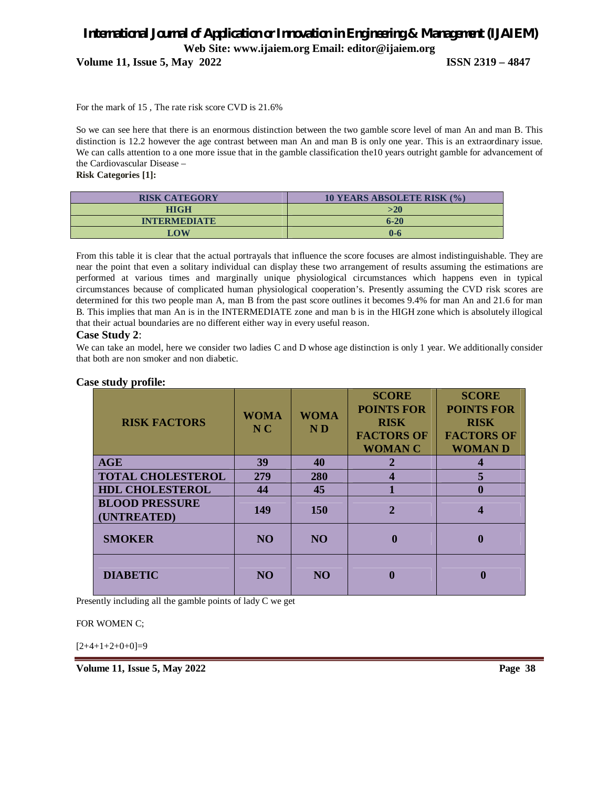**Volume 11, Issue 5, May 2022 ISSN 2319 – 4847**

For the mark of 15 , The rate risk score CVD is 21.6%

So we can see here that there is an enormous distinction between the two gamble score level of man An and man B. This distinction is 12.2 however the age contrast between man An and man B is only one year. This is an extraordinary issue. We can calls attention to a one more issue that in the gamble classification the10 years outright gamble for advancement of the Cardiovascular Disease –

**Risk Categories [1]:**

| <b>RISK CATEGORY</b> | <b>10 YEARS ABSOLETE RISK (%)</b> |
|----------------------|-----------------------------------|
| HIGH                 | >20                               |
| <b>INTERMEDIATE</b>  | $6 - 20$                          |
| LOW                  | 0-6                               |

From this table it is clear that the actual portrayals that influence the score focuses are almost indistinguishable. They are near the point that even a solitary individual can display these two arrangement of results assuming the estimations are performed at various times and marginally unique physiological circumstances which happens even in typical circumstances because of complicated human physiological cooperation's. Presently assuming the CVD risk scores are determined for this two people man A, man B from the past score outlines it becomes 9.4% for man An and 21.6 for man B. This implies that man An is in the INTERMEDIATE zone and man b is in the HIGH zone which is absolutely illogical that their actual boundaries are no different either way in every useful reason.

### **Case Study 2**:

We can take an model, here we consider two ladies C and D whose age distinction is only 1 year. We additionally consider that both are non smoker and non diabetic.

### **Case study profile:**

| <b>RISK FACTORS</b>                  | <b>WOMA</b><br>$N_{\rm C}$ | <b>WOMA</b><br>ND | <b>SCORE</b><br><b>POINTS FOR</b><br><b>RISK</b><br><b>FACTORS OF</b><br><b>WOMAN C</b> | <b>SCORE</b><br><b>POINTS FOR</b><br><b>RISK</b><br><b>FACTORS OF</b><br><b>WOMAND</b> |
|--------------------------------------|----------------------------|-------------------|-----------------------------------------------------------------------------------------|----------------------------------------------------------------------------------------|
| AGE                                  | 39                         | 40                | 2                                                                                       |                                                                                        |
| <b>TOTAL CHOLESTEROL</b>             | 279                        | 280               | 4                                                                                       |                                                                                        |
| <b>HDL CHOLESTEROL</b>               | 44                         | 45                |                                                                                         | O                                                                                      |
| <b>BLOOD PRESSURE</b><br>(UNTREATED) | 149                        | 150               | $\mathbf{2}$                                                                            |                                                                                        |
| <b>SMOKER</b>                        | N <sub>O</sub>             | N <sub>O</sub>    | 0                                                                                       | 0                                                                                      |
| <b>DIABETIC</b>                      | NO                         | N <sub>O</sub>    |                                                                                         |                                                                                        |

Presently including all the gamble points of lady C we get

FOR WOMEN C;

 $[2+4+1+2+0+0]=9$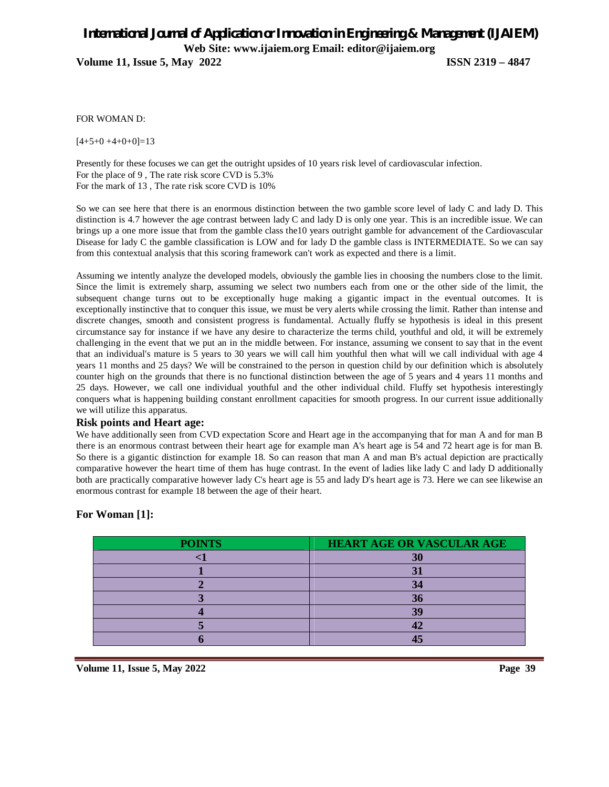**Volume 11, Issue 5, May 2022 ISSN 2319 – 4847**

FOR WOMAN D:

 $[4+5+0+4+0+0]=13$ 

Presently for these focuses we can get the outright upsides of 10 years risk level of cardiovascular infection. For the place of 9 , The rate risk score CVD is 5.3% For the mark of 13 , The rate risk score CVD is 10%

So we can see here that there is an enormous distinction between the two gamble score level of lady C and lady D. This distinction is 4.7 however the age contrast between lady C and lady D is only one year. This is an incredible issue. We can brings up a one more issue that from the gamble class the10 years outright gamble for advancement of the Cardiovascular Disease for lady C the gamble classification is LOW and for lady D the gamble class is INTERMEDIATE. So we can say from this contextual analysis that this scoring framework can't work as expected and there is a limit.

Assuming we intently analyze the developed models, obviously the gamble lies in choosing the numbers close to the limit. Since the limit is extremely sharp, assuming we select two numbers each from one or the other side of the limit, the subsequent change turns out to be exceptionally huge making a gigantic impact in the eventual outcomes. It is exceptionally instinctive that to conquer this issue, we must be very alerts while crossing the limit. Rather than intense and discrete changes, smooth and consistent progress is fundamental. Actually fluffy se hypothesis is ideal in this present circumstance say for instance if we have any desire to characterize the terms child, youthful and old, it will be extremely challenging in the event that we put an in the middle between. For instance, assuming we consent to say that in the event that an individual's mature is 5 years to 30 years we will call him youthful then what will we call individual with age 4 years 11 months and 25 days? We will be constrained to the person in question child by our definition which is absolutely counter high on the grounds that there is no functional distinction between the age of 5 years and 4 years 11 months and 25 days. However, we call one individual youthful and the other individual child. Fluffy set hypothesis interestingly conquers what is happening building constant enrollment capacities for smooth progress. In our current issue additionally we will utilize this apparatus.

### **Risk points and Heart age:**

We have additionally seen from CVD expectation Score and Heart age in the accompanying that for man A and for man B there is an enormous contrast between their heart age for example man A's heart age is 54 and 72 heart age is for man B. So there is a gigantic distinction for example 18. So can reason that man A and man B's actual depiction are practically comparative however the heart time of them has huge contrast. In the event of ladies like lady C and lady D additionally both are practically comparative however lady C's heart age is 55 and lady D's heart age is 73. Here we can see likewise an enormous contrast for example 18 between the age of their heart.

### **For Woman [1]:**

| <b>POINTS</b> | <b>HEART AGE OR VASCULAR AGE</b> |
|---------------|----------------------------------|
|               | 30                               |
|               |                                  |
|               | 34                               |
|               |                                  |
|               | 30                               |
|               |                                  |
|               |                                  |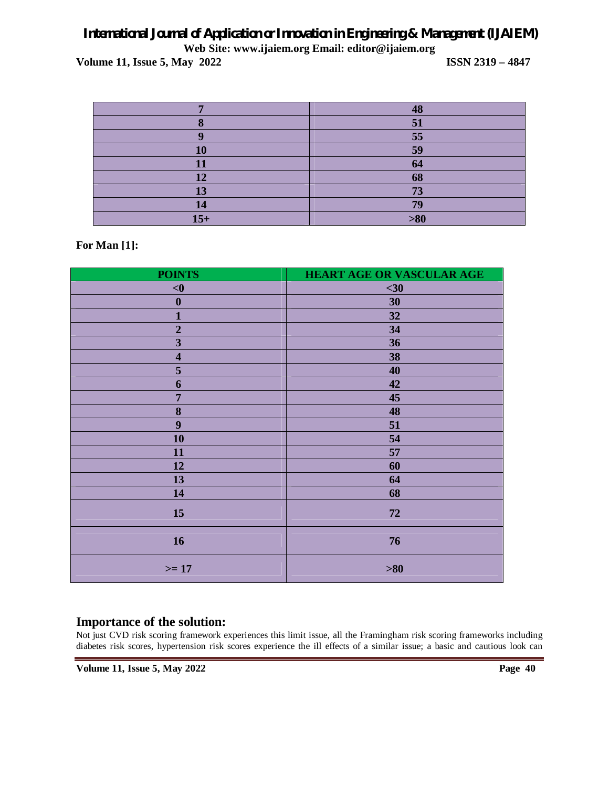**Volume 11, Issue 5, May 2022 ISSN 2319 – 4847**

|               | 48  |
|---------------|-----|
|               | 51  |
|               | 55  |
|               | 59  |
|               | 64  |
| 12            | 68  |
| 13            | 73  |
| $\mathbf{14}$ | 79  |
| $15+$         | >80 |

### **For Man [1]:**

| <b>POINTS</b>           | HEART AGE OR VASCULAR AGE |
|-------------------------|---------------------------|
| < 0                     | $30$                      |
| $\boldsymbol{0}$        | 30                        |
| $\mathbf{1}$            | 32                        |
| $\mathbf 2$             | 34                        |
| $\overline{\mathbf{3}}$ | 36                        |
| $\overline{\mathbf{4}}$ | 38                        |
| 5                       | 40                        |
| 6                       | 42                        |
| $\overline{7}$          | 45                        |
| $\bf{8}$                | 48                        |
| $\boldsymbol{9}$        | 51                        |
| 10                      | 54                        |
| 11                      | 57                        |
| 12                      | 60                        |
| 13                      | 64                        |
| 14                      | 68                        |
| 15                      | 72                        |
| 16                      | 76                        |
| $>= 17$                 | $>\!\!80$                 |

### **Importance of the solution:**

Not just CVD risk scoring framework experiences this limit issue, all the Framingham risk scoring frameworks including diabetes risk scores, hypertension risk scores experience the ill effects of a similar issue; a basic and cautious look can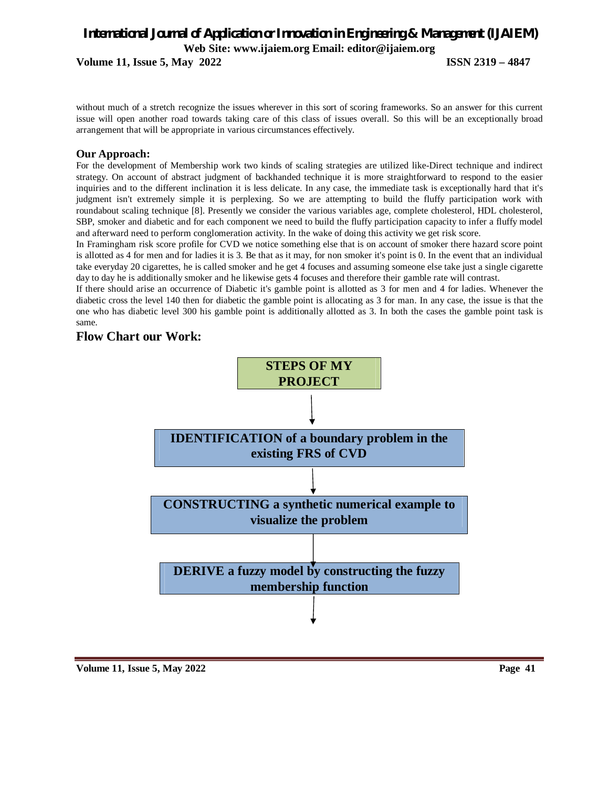**Volume 11, Issue 5, May 2022 ISSN 2319 – 4847**

without much of a stretch recognize the issues wherever in this sort of scoring frameworks. So an answer for this current issue will open another road towards taking care of this class of issues overall. So this will be an exceptionally broad arrangement that will be appropriate in various circumstances effectively.

### **Our Approach:**

For the development of Membership work two kinds of scaling strategies are utilized like-Direct technique and indirect strategy. On account of abstract judgment of backhanded technique it is more straightforward to respond to the easier inquiries and to the different inclination it is less delicate. In any case, the immediate task is exceptionally hard that it's judgment isn't extremely simple it is perplexing. So we are attempting to build the fluffy participation work with roundabout scaling technique [8]. Presently we consider the various variables age, complete cholesterol, HDL cholesterol, SBP, smoker and diabetic and for each component we need to build the fluffy participation capacity to infer a fluffy model and afterward need to perform conglomeration activity. In the wake of doing this activity we get risk score.

In Framingham risk score profile for CVD we notice something else that is on account of smoker there hazard score point is allotted as 4 for men and for ladies it is 3. Be that as it may, for non smoker it's point is 0. In the event that an individual take everyday 20 cigarettes, he is called smoker and he get 4 focuses and assuming someone else take just a single cigarette day to day he is additionally smoker and he likewise gets 4 focuses and therefore their gamble rate will contrast.

If there should arise an occurrence of Diabetic it's gamble point is allotted as 3 for men and 4 for ladies. Whenever the diabetic cross the level 140 then for diabetic the gamble point is allocating as 3 for man. In any case, the issue is that the one who has diabetic level 300 his gamble point is additionally allotted as 3. In both the cases the gamble point task is same.

### **Flow Chart our Work:**